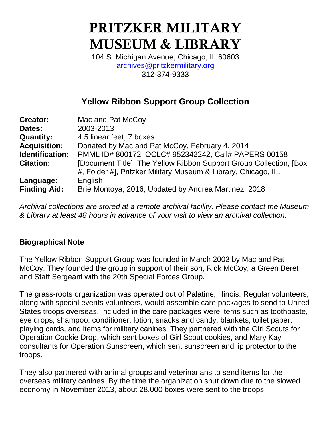# PRITZKER MILITARY MUSEUM & LIBRARY

104 S. Michigan Avenue, Chicago, IL 60603 [archives@pritzkermilitary.org](mailto:archives@pritzkermilitary.org) 312-374-9333

# **Yellow Ribbon Support Group Collection**

| <b>Creator:</b>     | Mac and Pat McCoy                                                   |
|---------------------|---------------------------------------------------------------------|
| Dates:              | 2003-2013                                                           |
| <b>Quantity:</b>    | 4.5 linear feet, 7 boxes                                            |
| <b>Acquisition:</b> | Donated by Mac and Pat McCoy, February 4, 2014                      |
| Identification:     | PMML ID# 800172, OCLC# 952342242, Call# PAPERS 00158                |
| <b>Citation:</b>    | [Document Title]. The Yellow Ribbon Support Group Collection, [Box] |
|                     | #, Folder #], Pritzker Military Museum & Library, Chicago, IL.      |
| Language:           | English                                                             |
| <b>Finding Aid:</b> | Brie Montoya, 2016; Updated by Andrea Martinez, 2018                |

*Archival collections are stored at a remote archival facility. Please contact the Museum & Library at least 48 hours in advance of your visit to view an archival collection.*

### **Biographical Note**

The Yellow Ribbon Support Group was founded in March 2003 by Mac and Pat McCoy. They founded the group in support of their son, Rick McCoy, a Green Beret and Staff Sergeant with the 20th Special Forces Group.

The grass-roots organization was operated out of Palatine, Illinois. Regular volunteers, along with special events volunteers, would assemble care packages to send to United States troops overseas. Included in the care packages were items such as toothpaste, eye drops, shampoo, conditioner, lotion, snacks and candy, blankets, toilet paper, playing cards, and items for military canines. They partnered with the Girl Scouts for Operation Cookie Drop, which sent boxes of Girl Scout cookies, and Mary Kay consultants for Operation Sunscreen, which sent sunscreen and lip protector to the troops.

They also partnered with animal groups and veterinarians to send items for the overseas military canines. By the time the organization shut down due to the slowed economy in November 2013, about 28,000 boxes were sent to the troops.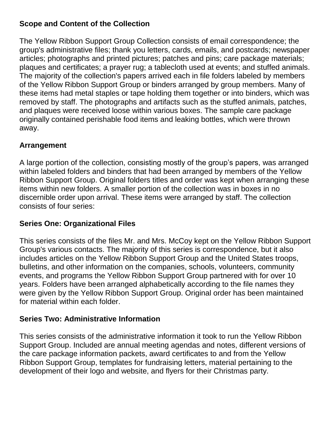### **Scope and Content of the Collection**

The Yellow Ribbon Support Group Collection consists of email correspondence; the group's administrative files; thank you letters, cards, emails, and postcards; newspaper articles; photographs and printed pictures; patches and pins; care package materials; plaques and certificates; a prayer rug; a tablecloth used at events; and stuffed animals. The majority of the collection's papers arrived each in file folders labeled by members of the Yellow Ribbon Support Group or binders arranged by group members. Many of these items had metal staples or tape holding them together or into binders, which was removed by staff. The photographs and artifacts such as the stuffed animals, patches, and plaques were received loose within various boxes. The sample care package originally contained perishable food items and leaking bottles, which were thrown away.

# **Arrangement**

A large portion of the collection, consisting mostly of the group's papers, was arranged within labeled folders and binders that had been arranged by members of the Yellow Ribbon Support Group. Original folders titles and order was kept when arranging these items within new folders. A smaller portion of the collection was in boxes in no discernible order upon arrival. These items were arranged by staff. The collection consists of four series:

# **Series One: Organizational Files**

This series consists of the files Mr. and Mrs. McCoy kept on the Yellow Ribbon Support Group's various contacts. The majority of this series is correspondence, but it also includes articles on the Yellow Ribbon Support Group and the United States troops, bulletins, and other information on the companies, schools, volunteers, community events, and programs the Yellow Ribbon Support Group partnered with for over 10 years. Folders have been arranged alphabetically according to the file names they were given by the Yellow Ribbon Support Group. Original order has been maintained for material within each folder.

# **Series Two: Administrative Information**

This series consists of the administrative information it took to run the Yellow Ribbon Support Group. Included are annual meeting agendas and notes, different versions of the care package information packets, award certificates to and from the Yellow Ribbon Support Group, templates for fundraising letters, material pertaining to the development of their logo and website, and flyers for their Christmas party.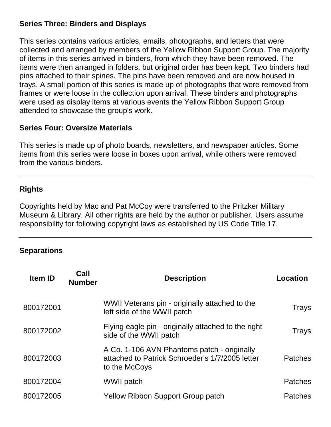#### **Series Three: Binders and Displays**

This series contains various articles, emails, photographs, and letters that were collected and arranged by members of the Yellow Ribbon Support Group. The majority of items in this series arrived in binders, from which they have been removed. The items were then arranged in folders, but original order has been kept. Two binders had pins attached to their spines. The pins have been removed and are now housed in trays. A small portion of this series is made up of photographs that were removed from frames or were loose in the collection upon arrival. These binders and photographs were used as display items at various events the Yellow Ribbon Support Group attended to showcase the group's work.

### **Series Four: Oversize Materials**

This series is made up of photo boards, newsletters, and newspaper articles. Some items from this series were loose in boxes upon arrival, while others were removed from the various binders.

#### **Rights**

Copyrights held by Mac and Pat McCoy were transferred to the Pritzker Military Museum & Library. All other rights are held by the author or publisher. Users assume responsibility for following copyright laws as established by US Code Title 17.

### **Separations**

| <b>Item ID</b> | Call<br><b>Number</b> | <b>Description</b>                                                                                              | Location       |
|----------------|-----------------------|-----------------------------------------------------------------------------------------------------------------|----------------|
| 800172001      |                       | WWII Veterans pin - originally attached to the<br>left side of the WWII patch                                   | <b>Trays</b>   |
| 800172002      |                       | Flying eagle pin - originally attached to the right<br>side of the WWII patch                                   | <b>Trays</b>   |
| 800172003      |                       | A Co. 1-106 AVN Phantoms patch - originally<br>attached to Patrick Schroeder's 1/7/2005 letter<br>to the McCoys | <b>Patches</b> |
| 800172004      |                       | WWII patch                                                                                                      | <b>Patches</b> |
| 800172005      |                       | <b>Yellow Ribbon Support Group patch</b>                                                                        | <b>Patches</b> |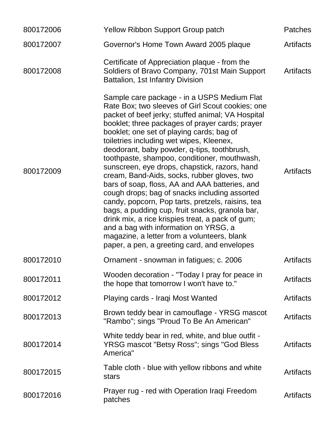| 800172006 | <b>Yellow Ribbon Support Group patch</b>                                                                                                                                                                                                                                                                                                                                                                                                                                                                                                                                                                                                                                                                                                                                                                                                                                                               | <b>Patches</b>   |
|-----------|--------------------------------------------------------------------------------------------------------------------------------------------------------------------------------------------------------------------------------------------------------------------------------------------------------------------------------------------------------------------------------------------------------------------------------------------------------------------------------------------------------------------------------------------------------------------------------------------------------------------------------------------------------------------------------------------------------------------------------------------------------------------------------------------------------------------------------------------------------------------------------------------------------|------------------|
| 800172007 | Governor's Home Town Award 2005 plaque                                                                                                                                                                                                                                                                                                                                                                                                                                                                                                                                                                                                                                                                                                                                                                                                                                                                 | Artifacts        |
| 800172008 | Certificate of Appreciation plaque - from the<br>Soldiers of Bravo Company, 701st Main Support<br>Battalion, 1st Infantry Division                                                                                                                                                                                                                                                                                                                                                                                                                                                                                                                                                                                                                                                                                                                                                                     | <b>Artifacts</b> |
| 800172009 | Sample care package - in a USPS Medium Flat<br>Rate Box; two sleeves of Girl Scout cookies; one<br>packet of beef jerky; stuffed animal; VA Hospital<br>booklet; three packages of prayer cards; prayer<br>booklet; one set of playing cards; bag of<br>toiletries including wet wipes, Kleenex,<br>deodorant, baby powder, q-tips, toothbrush,<br>toothpaste, shampoo, conditioner, mouthwash,<br>sunscreen, eye drops, chapstick, razors, hand<br>cream, Band-Aids, socks, rubber gloves, two<br>bars of soap, floss, AA and AAA batteries, and<br>cough drops; bag of snacks including assorted<br>candy, popcorn, Pop tarts, pretzels, raisins, tea<br>bags, a pudding cup, fruit snacks, granola bar,<br>drink mix, a rice krispies treat, a pack of gum;<br>and a bag with information on YRSG, a<br>magazine, a letter from a volunteers, blank<br>paper, a pen, a greeting card, and envelopes | <b>Artifacts</b> |
| 800172010 | Ornament - snowman in fatigues; c. 2006                                                                                                                                                                                                                                                                                                                                                                                                                                                                                                                                                                                                                                                                                                                                                                                                                                                                | Artifacts        |
| 800172011 | Wooden decoration - "Today I pray for peace in<br>the hope that tomorrow I won't have to."                                                                                                                                                                                                                                                                                                                                                                                                                                                                                                                                                                                                                                                                                                                                                                                                             | <b>Artifacts</b> |
| 800172012 | Playing cards - Iraqi Most Wanted                                                                                                                                                                                                                                                                                                                                                                                                                                                                                                                                                                                                                                                                                                                                                                                                                                                                      | Artifacts        |
| 800172013 | Brown teddy bear in camouflage - YRSG mascot<br>"Rambo"; sings "Proud To Be An American"                                                                                                                                                                                                                                                                                                                                                                                                                                                                                                                                                                                                                                                                                                                                                                                                               | <b>Artifacts</b> |
| 800172014 | White teddy bear in red, white, and blue outfit -<br>YRSG mascot "Betsy Ross"; sings "God Bless<br>America"                                                                                                                                                                                                                                                                                                                                                                                                                                                                                                                                                                                                                                                                                                                                                                                            | <b>Artifacts</b> |
| 800172015 | Table cloth - blue with yellow ribbons and white<br>stars                                                                                                                                                                                                                                                                                                                                                                                                                                                                                                                                                                                                                                                                                                                                                                                                                                              | <b>Artifacts</b> |
| 800172016 | Prayer rug - red with Operation Iraqi Freedom<br>patches                                                                                                                                                                                                                                                                                                                                                                                                                                                                                                                                                                                                                                                                                                                                                                                                                                               | <b>Artifacts</b> |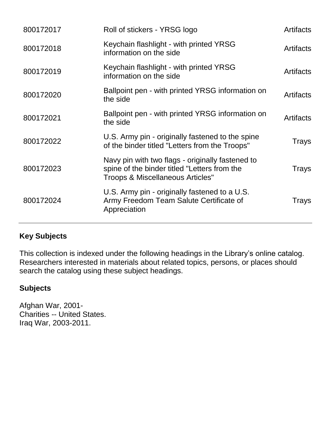| Roll of stickers - YRSG logo                                                                                                         | <b>Artifacts</b> |
|--------------------------------------------------------------------------------------------------------------------------------------|------------------|
| Keychain flashlight - with printed YRSG<br>information on the side                                                                   | <b>Artifacts</b> |
| Keychain flashlight - with printed YRSG<br>information on the side                                                                   | <b>Artifacts</b> |
| Ballpoint pen - with printed YRSG information on<br>the side                                                                         | <b>Artifacts</b> |
| Ballpoint pen - with printed YRSG information on<br>the side                                                                         | <b>Artifacts</b> |
| U.S. Army pin - originally fastened to the spine<br>of the binder titled "Letters from the Troops"                                   | Trays            |
| Navy pin with two flags - originally fastened to<br>spine of the binder titled "Letters from the<br>Troops & Miscellaneous Articles" | Trays            |
| U.S. Army pin - originally fastened to a U.S.<br>Army Freedom Team Salute Certificate of<br>Appreciation                             | Trays            |
|                                                                                                                                      |                  |

# **Key Subjects**

This collection is indexed under the following headings in the Library's online catalog. Researchers interested in materials about related topics, persons, or places should search the catalog using these subject headings.

### **Subjects**

Afghan War, 2001- Charities -- United States. Iraq War, 2003-2011.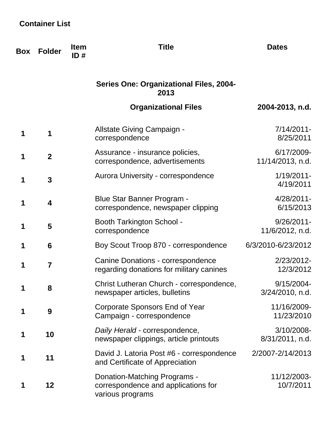| <b>Box</b> | <b>Folder</b>    | <b>Item</b><br>ID# | <b>Title</b>                                                                            | <b>Dates</b>                     |
|------------|------------------|--------------------|-----------------------------------------------------------------------------------------|----------------------------------|
|            |                  |                    | <b>Series One: Organizational Files, 2004-</b><br>2013                                  |                                  |
|            |                  |                    | <b>Organizational Files</b>                                                             | 2004-2013, n.d.                  |
|            | 1                |                    | Allstate Giving Campaign -<br>correspondence                                            | $7/14/2011$ -<br>8/25/2011       |
| 1          | $\boldsymbol{2}$ |                    | Assurance - insurance policies,<br>correspondence, advertisements                       | 6/17/2009-<br>11/14/2013, n.d.   |
|            | 3                |                    | Aurora University - correspondence                                                      | $1/19/2011$ -<br>4/19/2011       |
| 1          | 4                |                    | Blue Star Banner Program -<br>correspondence, newspaper clipping                        | 4/28/2011-<br>6/15/2013          |
| 1          | 5                |                    | <b>Booth Tarkington School -</b><br>correspondence                                      | $9/26/2011$ -<br>11/6/2012, n.d. |
| 1          | 6                |                    | Boy Scout Troop 870 - correspondence                                                    | 6/3/2010-6/23/2012               |
| 1          | 7                |                    | Canine Donations - correspondence<br>regarding donations for military canines           | 2/23/2012-<br>12/3/2012          |
| 1          | 8                |                    | Christ Lutheran Church - correspondence,<br>newspaper articles, bulletins               | 9/15/2004-<br>3/24/2010, n.d.    |
| 1          | 9                |                    | Corporate Sponsors End of Year<br>Campaign - correspondence                             | 11/16/2009-<br>11/23/2010        |
| 1          | 10               |                    | Daily Herald - correspondence,<br>newspaper clippings, article printouts                | 3/10/2008-<br>8/31/2011, n.d.    |
|            | 11               |                    | David J. Latoria Post #6 - correspondence<br>and Certificate of Appreciation            | 2/2007-2/14/2013                 |
| 1          | 12               |                    | Donation-Matching Programs -<br>correspondence and applications for<br>various programs | 11/12/2003-<br>10/7/2011         |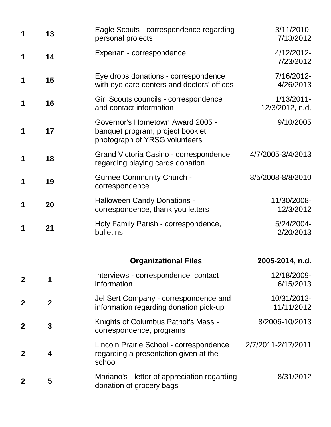|              | 13             | Eagle Scouts - correspondence regarding<br>personal projects                                           | $3/11/2010$ -<br>7/13/2012       |
|--------------|----------------|--------------------------------------------------------------------------------------------------------|----------------------------------|
| 1            | 14             | Experian - correspondence                                                                              | 4/12/2012-<br>7/23/2012          |
| 1            | 15             | Eye drops donations - correspondence<br>with eye care centers and doctors' offices                     | 7/16/2012-<br>4/26/2013          |
| 1            | 16             | Girl Scouts councils - correspondence<br>and contact information                                       | $1/13/2011$ -<br>12/3/2012, n.d. |
| 1            | 17             | Governor's Hometown Award 2005 -<br>banquet program, project booklet,<br>photograph of YRSG volunteers | 9/10/2005                        |
| 1            | 18             | Grand Victoria Casino - correspondence<br>regarding playing cards donation                             | 4/7/2005-3/4/2013                |
| 1            | 19             | <b>Gurnee Community Church -</b><br>correspondence                                                     | 8/5/2008-8/8/2010                |
| 1            | 20             | <b>Halloween Candy Donations -</b><br>correspondence, thank you letters                                | 11/30/2008-<br>12/3/2012         |
|              | 21             | Holy Family Parish - correspondence,<br>bulletins                                                      | 5/24/2004-<br>2/20/2013          |
|              |                | <b>Organizational Files</b>                                                                            | 2005-2014, n.d.                  |
| $\mathbf{2}$ | 1              | Interviews - correspondence, contact<br>information                                                    | 12/18/2009-<br>6/15/2013         |
| $\mathbf{2}$ | $\overline{2}$ | Jel Sert Company - correspondence and<br>information regarding donation pick-up                        | 10/31/2012-<br>11/11/2012        |
| $\mathbf 2$  | 3              | Knights of Columbus Patriot's Mass -<br>correspondence, programs                                       | 8/2006-10/2013                   |
| $\mathbf 2$  | 4              | Lincoln Prairie School - correspondence<br>regarding a presentation given at the<br>school             | 2/7/2011-2/17/2011               |
| $\mathbf{2}$ | 5              | Mariano's - letter of appreciation regarding<br>donation of grocery bags                               | 8/31/2012                        |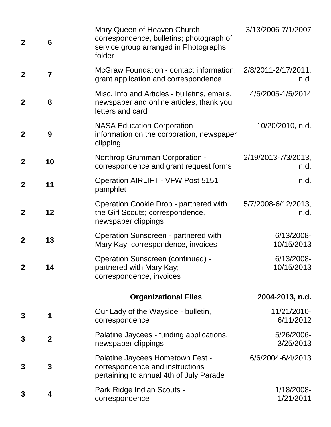| $\mathbf{2}$   | 6              | Mary Queen of Heaven Church -<br>correspondence, bulletins; photograph of<br>service group arranged in Photographs<br>folder | 3/13/2006-7/1/2007          |
|----------------|----------------|------------------------------------------------------------------------------------------------------------------------------|-----------------------------|
| $\mathbf{2}$   | $\overline{7}$ | McGraw Foundation - contact information,<br>grant application and correspondence                                             | 2/8/2011-2/17/2011,<br>n.d. |
| $\mathbf{2}$   | 8              | Misc. Info and Articles - bulletins, emails,<br>newspaper and online articles, thank you<br>letters and card                 | 4/5/2005-1/5/2014           |
| $\mathbf{2}$   | 9              | <b>NASA Education Corporation -</b><br>information on the corporation, newspaper<br>clipping                                 | 10/20/2010, n.d.            |
| $\mathbf{2}$   | 10             | <b>Northrop Grumman Corporation -</b><br>correspondence and grant request forms                                              | 2/19/2013-7/3/2013,<br>n.d. |
| $\mathbf{2}$   | 11             | <b>Operation AIRLIFT - VFW Post 5151</b><br>pamphlet                                                                         | n.d.                        |
| $\overline{2}$ | 12             | Operation Cookie Drop - partnered with<br>the Girl Scouts; correspondence,<br>newspaper clippings                            | 5/7/2008-6/12/2013,<br>n.d. |
| $\mathbf 2$    | 13             | Operation Sunscreen - partnered with<br>Mary Kay; correspondence, invoices                                                   | 6/13/2008-<br>10/15/2013    |
| $\mathbf{2}$   | 14             | Operation Sunscreen (continued) -<br>partnered with Mary Kay;<br>correspondence, invoices                                    | 6/13/2008-<br>10/15/2013    |
|                |                | <b>Organizational Files</b>                                                                                                  | 2004-2013, n.d.             |
| 3              | 1              | Our Lady of the Wayside - bulletin,<br>correspondence                                                                        | 11/21/2010-<br>6/11/2012    |
| 3              | $\mathbf{2}$   | Palatine Jaycees - funding applications,<br>newspaper clippings                                                              | 5/26/2006-<br>3/25/2013     |
| 3              | 3              | Palatine Jaycees Hometown Fest -<br>correspondence and instructions<br>pertaining to annual 4th of July Parade               | 6/6/2004-6/4/2013           |
| 3              | 4              | Park Ridge Indian Scouts -<br>correspondence                                                                                 | 1/18/2008-<br>1/21/2011     |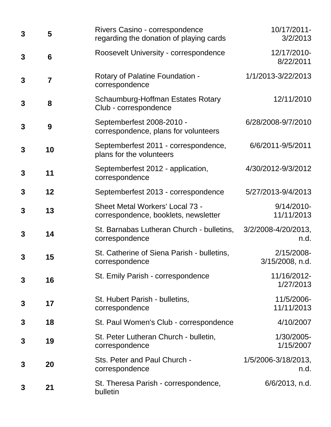| 3            | 5              | Rivers Casino - correspondence<br>regarding the donation of playing cards      | 10/17/2011-<br>3/2/2013          |
|--------------|----------------|--------------------------------------------------------------------------------|----------------------------------|
| $\mathbf{3}$ | 6              | Roosevelt University - correspondence                                          | 12/17/2010-<br>8/22/2011         |
| 3            | $\overline{7}$ | <b>Rotary of Palatine Foundation -</b><br>correspondence                       | 1/1/2013-3/22/2013               |
| 3            | 8              | Schaumburg-Hoffman Estates Rotary<br>Club - correspondence                     | 12/11/2010                       |
| 3            | 9              | Septemberfest 2008-2010 -<br>correspondence, plans for volunteers              | 6/28/2008-9/7/2010               |
| 3            | 10             | Septemberfest 2011 - correspondence,<br>plans for the volunteers               | 6/6/2011-9/5/2011                |
| 3            | 11             | Septemberfest 2012 - application,<br>correspondence                            | 4/30/2012-9/3/2012               |
| 3            | 12             | Septemberfest 2013 - correspondence                                            | 5/27/2013-9/4/2013               |
| 3            | 13             | <b>Sheet Metal Workers' Local 73 -</b><br>correspondence, booklets, newsletter | $9/14/2010$ -<br>11/11/2013      |
| 3            | 14             | St. Barnabas Lutheran Church - bulletins,<br>correspondence                    | 3/2/2008-4/20/2013,<br>n.d.      |
| 3            | 15             | St. Catherine of Siena Parish - bulletins,<br>correspondence                   | $2/15/2008 -$<br>3/15/2008, n.d. |
| 3            | 16             | St. Emily Parish - correspondence                                              | 11/16/2012-<br>1/27/2013         |
| 3            | 17             | St. Hubert Parish - bulletins,<br>correspondence                               | 11/5/2006-<br>11/11/2013         |
| 3            | 18             | St. Paul Women's Club - correspondence                                         | 4/10/2007                        |
| 3            | 19             | St. Peter Lutheran Church - bulletin,<br>correspondence                        | 1/30/2005-<br>1/15/2007          |
| 3            | 20             | Sts. Peter and Paul Church -<br>correspondence                                 | 1/5/2006-3/18/2013,<br>n.d.      |
| 3            | 21             | St. Theresa Parish - correspondence,<br>bulletin                               | $6/6/2013$ , n.d.                |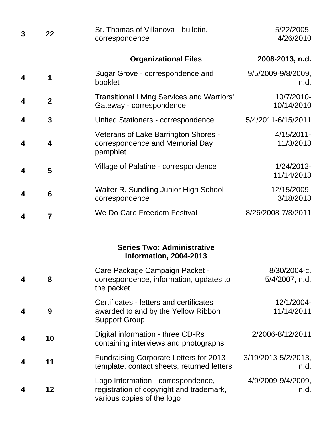| $\mathbf{3}$     | 22             | St. Thomas of Villanova - bulletin,<br>correspondence                                                        | 5/22/2005-<br>4/26/2010        |
|------------------|----------------|--------------------------------------------------------------------------------------------------------------|--------------------------------|
|                  |                | <b>Organizational Files</b>                                                                                  | 2008-2013, n.d.                |
| $\boldsymbol{4}$ | 1              | Sugar Grove - correspondence and<br>booklet                                                                  | 9/5/2009-9/8/2009,<br>n.d.     |
| 4                | $\overline{2}$ | <b>Transitional Living Services and Warriors'</b><br>Gateway - correspondence                                | 10/7/2010-<br>10/14/2010       |
| 4                | 3              | United Stationers - correspondence                                                                           | 5/4/2011-6/15/2011             |
| 4                | 4              | Veterans of Lake Barrington Shores -<br>correspondence and Memorial Day<br>pamphlet                          | $4/15/2011$ -<br>11/3/2013     |
| 4                | 5              | Village of Palatine - correspondence                                                                         | 1/24/2012-<br>11/14/2013       |
| 4                | 6              | <b>Walter R. Sundling Junior High School -</b><br>correspondence                                             | 12/15/2009-<br>3/18/2013       |
| 4                | 7              | We Do Care Freedom Festival                                                                                  | 8/26/2008-7/8/2011             |
|                  |                | <b>Series Two: Administrative</b><br>Information, 2004-2013                                                  |                                |
| 4                | 8              | Care Package Campaign Packet -<br>correspondence, information, updates to<br>the packet                      | 8/30/2004-c.<br>5/4/2007, n.d. |
| 4                | 9              | Certificates - letters and certificates<br>awarded to and by the Yellow Ribbon<br><b>Support Group</b>       | 12/1/2004-<br>11/14/2011       |
| 4                | 10             | Digital information - three CD-Rs<br>containing interviews and photographs                                   | 2/2006-8/12/2011               |
| 4                | 11             | <b>Fundraising Corporate Letters for 2013 -</b><br>template, contact sheets, returned letters                | 3/19/2013-5/2/2013,<br>n.d.    |
| 4                | 12             | Logo Information - correspondence,<br>registration of copyright and trademark,<br>various copies of the logo | 4/9/2009-9/4/2009,<br>n.d.     |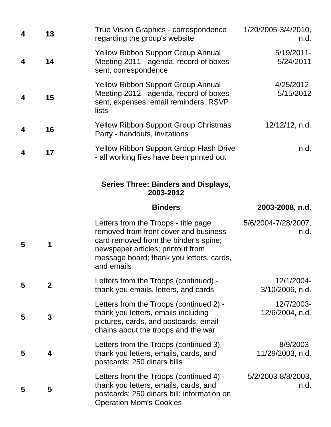| 4                       | 13 | True Vision Graphics - correspondence<br>regarding the group's website                                                                | 1/20/2005-3/4/2010,<br>n.d. |
|-------------------------|----|---------------------------------------------------------------------------------------------------------------------------------------|-----------------------------|
| 4                       | 14 | <b>Yellow Ribbon Support Group Annual</b><br>Meeting 2011 - agenda, record of boxes<br>sent, correspondence                           | $5/19/2011$ -<br>5/24/2011  |
| $\overline{\mathbf{A}}$ | 15 | <b>Yellow Ribbon Support Group Annual</b><br>Meeting 2012 - agenda, record of boxes<br>sent, expenses, email reminders, RSVP<br>lists | 4/25/2012-<br>5/15/2012     |
| 4                       | 16 | <b>Yellow Ribbon Support Group Christmas</b><br>Party - handouts, invitations                                                         | 12/12/12, n.d.              |
| 4                       | 17 | <b>Yellow Ribbon Support Group Flash Drive</b><br>- all working files have been printed out                                           | n.d.                        |

# **Series Three: Binders and Displays, 2003-2012**

# **Binders 2003-2008, n.d.**

| 5 | 1            | Letters from the Troops - title page<br>removed from front cover and business<br>card removed from the binder's spine;<br>newspaper articles; printout from<br>message board; thank you letters, cards,<br>and emails | 5/6/2004-7/28/2007,<br>n.d.   |
|---|--------------|-----------------------------------------------------------------------------------------------------------------------------------------------------------------------------------------------------------------------|-------------------------------|
| 5 | $\mathbf{2}$ | Letters from the Troops (continued) -<br>thank you emails, letters, and cards                                                                                                                                         | 12/1/2004-<br>3/10/2006, n.d. |
| 5 | 3            | Letters from the Troops (continued 2) -<br>thank you letters, emails including<br>pictures, cards, and postcards; email<br>chains about the troops and the war                                                        | 12/7/2003-<br>12/6/2004, n.d. |
| 5 | 4            | Letters from the Troops (continued 3) -<br>thank you letters, emails, cards, and<br>postcards; 250 dinars bills                                                                                                       | 8/9/2003-<br>11/29/2003, n.d. |
| 5 | 5            | Letters from the Troops (continued 4) -<br>thank you letters, emails, cards, and<br>postcards; 250 dinars bill; information on<br><b>Operation Mom's Cookies</b>                                                      | 5/2/2003-8/8/2003,<br>n.d.    |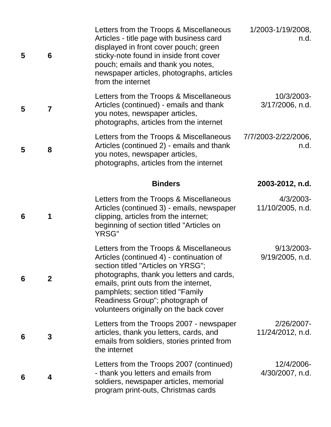| 5 | 6 | Letters from the Troops & Miscellaneous<br>Articles - title page with business card<br>displayed in front cover pouch; green<br>sticky-note found in inside front cover<br>pouch; emails and thank you notes,<br>newspaper articles, photographs, articles<br>from the internet                                                    | 1/2003-1/19/2008,<br>n.d.        |
|---|---|------------------------------------------------------------------------------------------------------------------------------------------------------------------------------------------------------------------------------------------------------------------------------------------------------------------------------------|----------------------------------|
| 5 | 7 | Letters from the Troops & Miscellaneous<br>Articles (continued) - emails and thank<br>you notes, newspaper articles,<br>photographs, articles from the internet                                                                                                                                                                    | 10/3/2003-<br>3/17/2006, n.d.    |
| 5 | 8 | Letters from the Troops & Miscellaneous<br>Articles (continued 2) - emails and thank<br>you notes, newspaper articles,<br>photographs, articles from the internet                                                                                                                                                                  | 7/7/2003-2/22/2006,<br>n.d.      |
|   |   | <b>Binders</b>                                                                                                                                                                                                                                                                                                                     | 2003-2012, n.d.                  |
| 6 | 1 | Letters from the Troops & Miscellaneous<br>Articles (continued 3) - emails, newspaper<br>clipping, articles from the internet;<br>beginning of section titled "Articles on<br><b>YRSG"</b>                                                                                                                                         | 4/3/2003-<br>11/10/2005, n.d.    |
| 6 | 2 | Letters from the Troops & Miscellaneous<br>Articles (continued 4) - continuation of<br>section titled "Articles on YRSG";<br>photographs, thank you letters and cards,<br>emails, print outs from the internet,<br>pamphlets; section titled "Family<br>Readiness Group"; photograph of<br>volunteers originally on the back cover | $9/13/2003 -$<br>9/19/2005, n.d. |
| 6 | 3 | Letters from the Troops 2007 - newspaper<br>articles, thank you letters, cards, and<br>emails from soldiers, stories printed from<br>the internet                                                                                                                                                                                  | 2/26/2007-<br>11/24/2012, n.d.   |
|   |   | Letters from the Troops 2007 (continued)                                                                                                                                                                                                                                                                                           | 12/4/2006-                       |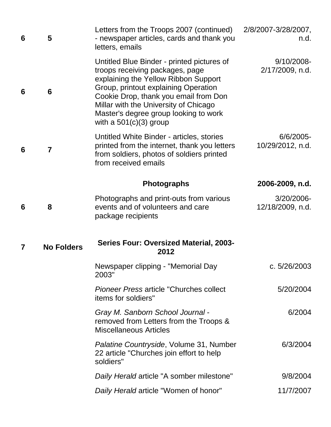| 6 | 5                 | Letters from the Troops 2007 (continued)<br>- newspaper articles, cards and thank you<br>letters, emails                                                                                                                                                                                                             | 2/8/2007-3/28/2007,<br>n.d.      |
|---|-------------------|----------------------------------------------------------------------------------------------------------------------------------------------------------------------------------------------------------------------------------------------------------------------------------------------------------------------|----------------------------------|
| 6 | 6                 | Untitled Blue Binder - printed pictures of<br>troops receiving packages, page<br>explaining the Yellow Ribbon Support<br>Group, printout explaining Operation<br>Cookie Drop, thank you email from Don<br>Millar with the University of Chicago<br>Master's degree group looking to work<br>with a $501(c)(3)$ group | 9/10/2008-<br>2/17/2009, n.d.    |
| 6 | $\overline{7}$    | Untitled White Binder - articles, stories<br>printed from the internet, thank you letters<br>from soldiers, photos of soldiers printed<br>from received emails                                                                                                                                                       | $6/6/2005$ -<br>10/29/2012, n.d. |
|   |                   | <b>Photographs</b>                                                                                                                                                                                                                                                                                                   | 2006-2009, n.d.                  |
| 6 | 8                 | Photographs and print-outs from various<br>events and of volunteers and care<br>package recipients                                                                                                                                                                                                                   | 3/20/2006-<br>12/18/2009, n.d.   |
| 7 | <b>No Folders</b> | <b>Series Four: Oversized Material, 2003-</b><br>2012                                                                                                                                                                                                                                                                |                                  |
|   |                   | Newspaper clipping - "Memorial Day<br>2003"                                                                                                                                                                                                                                                                          | c. 5/26/2003                     |
|   |                   | <b>Pioneer Press article "Churches collect</b><br>items for soldiers"                                                                                                                                                                                                                                                | 5/20/2004                        |
|   |                   | Gray M. Sanborn School Journal -<br>removed from Letters from the Troops &<br><b>Miscellaneous Articles</b>                                                                                                                                                                                                          | 6/2004                           |
|   |                   | Palatine Countryside, Volume 31, Number<br>22 article "Churches join effort to help<br>soldiers"                                                                                                                                                                                                                     | 6/3/2004                         |
|   |                   | Daily Herald article "A somber milestone"                                                                                                                                                                                                                                                                            | 9/8/2004                         |
|   |                   | Daily Herald article "Women of honor"                                                                                                                                                                                                                                                                                | 11/7/2007                        |